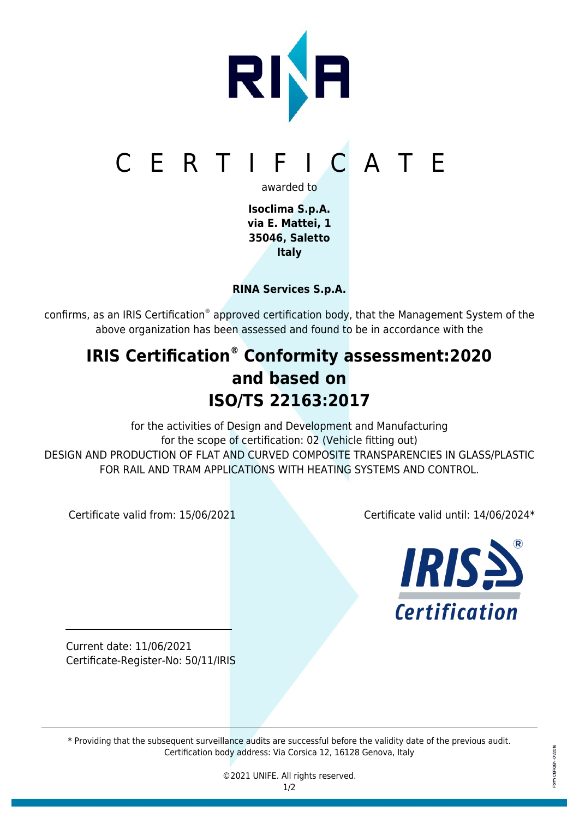

**Isoclima S.p.A. via E. Mattei, 1 35046, Saletto Italy**

**RINA Services S.p.A.**

confirms, as an IRIS Certification® approved certification body, that the Management System of the above organization has been assessed and found to be in accordance with the

## **IRIS Certification® Conformity assessment:2020 and based on ISO/TS 22163:2017**

for the activities of Design and Development and Manufacturing for the scope of certification: 02 (Vehicle fitting out) DESIGN AND PRODUCTION OF FLAT AND CURVED COMPOSITE TRANSPARENCIES IN GLASS/PLASTIC FOR RAIL AND TRAM APPLICATIONS WITH HEATING SYSTEMS AND CONTROL.

Certificate valid from: 15/06/2021 Certificate valid until: 14/06/2024\*



Current date: 11/06/2021 Certificate-Register-No: 50/11/IRIS

\* Providing that the subsequent surveillance audits are successful before the validity date of the previous audit. Certification body address: Via Corsica 12, 16128 Genova, Italy